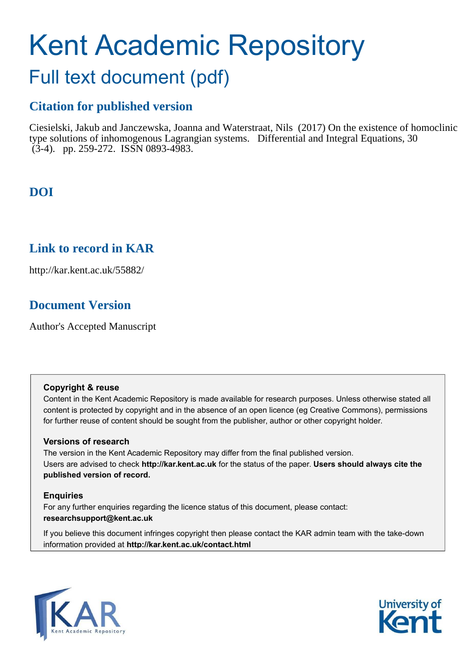# Kent Academic Repository

# Full text document (pdf)

# **Citation for published version**

Ciesielski, Jakub and Janczewska, Joanna and Waterstraat, Nils (2017) On the existence of homoclinic type solutions of inhomogenous Lagrangian systems. Differential and Integral Equations, 30  $(3-4)$ . pp. 259-272. ISSN 0893-4983.

# **DOI**

# **Link to record in KAR**

http://kar.kent.ac.uk/55882/

# **Document Version**

Author's Accepted Manuscript

## **Copyright & reuse**

Content in the Kent Academic Repository is made available for research purposes. Unless otherwise stated all content is protected by copyright and in the absence of an open licence (eg Creative Commons), permissions for further reuse of content should be sought from the publisher, author or other copyright holder.

## **Versions of research**

The version in the Kent Academic Repository may differ from the final published version. Users are advised to check **http://kar.kent.ac.uk** for the status of the paper. **Users should always cite the published version of record.**

## **Enquiries**

For any further enquiries regarding the licence status of this document, please contact: **researchsupport@kent.ac.uk**

If you believe this document infringes copyright then please contact the KAR admin team with the take-down information provided at **http://kar.kent.ac.uk/contact.html**



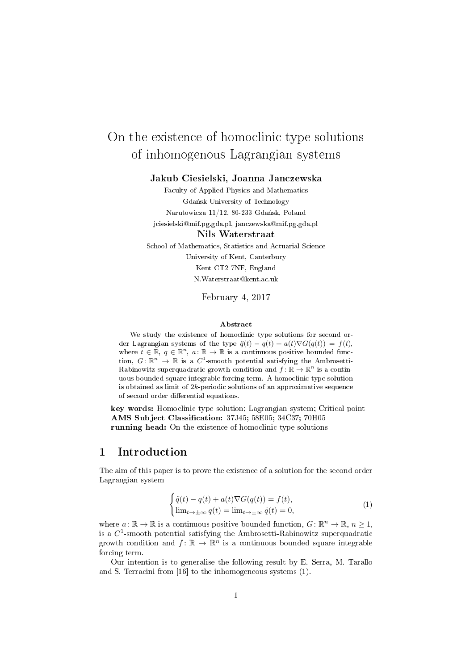# On the existence of homoclinic type solutions of inhomogenous Lagrangian systems

#### Jakub Ciesielski, Joanna Janczewska

Faculty of Applied Physics and Mathematics Gdańsk University of Technology Narutowicza 11/12, 80-233 Gdańsk, Poland jciesielski@mif.pg.gda.pl, janczewska@mif.pg.gda.pl Nils Waterstraat School of Mathematics, Statistics and Actuarial Science

University of Kent, Canterbury Kent CT2 7NF, England N.Waterstraat@kent.ac.uk

February 4, 2017

#### Abstract

We study the existence of homoclinic type solutions for second order Lagrangian systems of the type  $\ddot{q}(t) - q(t) + a(t)\nabla G(q(t)) = f(t)$ , where  $t \in \mathbb{R}$ ,  $q \in \mathbb{R}^n$ ,  $a: \mathbb{R} \to \mathbb{R}$  is a continuous positive bounded function,  $G: \mathbb{R}^n \to \mathbb{R}$  is a  $C^1$ -smooth potential satisfying the Ambrosetti-Rabinowitz superquadratic growth condition and  $f: \mathbb{R} \to \mathbb{R}^n$  is a continuous bounded square integrable forcing term. A homoclinic type solution is obtained as limit of 2k-periodic solutions of an approximative sequence of second order differential equations.

key words: Homoclinic type solution; Lagrangian system; Critical point AMS Subject Classification: 37J45; 58E05; 34C37; 70H05 running head: On the existence of homoclinic type solutions

## 1 Introduction

The aim of this paper is to prove the existence of a solution for the second order Lagrangian system

$$
\begin{cases}\n\ddot{q}(t) - q(t) + a(t)\nabla G(q(t)) = f(t), \\
\lim_{t \to \pm \infty} q(t) = \lim_{t \to \pm \infty} \dot{q}(t) = 0,\n\end{cases}
$$
\n(1)

where  $a: \mathbb{R} \to \mathbb{R}$  is a continuous positive bounded function,  $G: \mathbb{R}^n \to \mathbb{R}$ ,  $n \geq 1$ , is a  $C^1$ -smooth potential satisfying the Ambrosetti-Rabinowitz superquadratic growth condition and  $f: \mathbb{R} \to \mathbb{R}^n$  is a continuous bounded square integrable forcing term.

Our intention is to generalise the following result by E. Serra, M. Tarallo and S. Terracini from [16] to the inhomogeneous systems (1).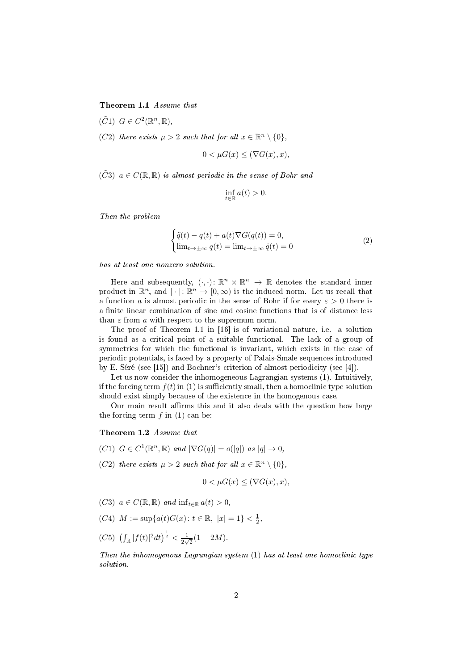Theorem 1.1 Assume that

 $(\tilde{C}1)$   $G \in C^2(\mathbb{R}^n, \mathbb{R}),$ 

(C2) there exists  $\mu > 2$  such that for all  $x \in \mathbb{R}^n \setminus \{0\},$ 

$$
0 < \mu G(x) \le (\nabla G(x), x),
$$

 $(\tilde{C}3)$   $a \in C(\mathbb{R}, \mathbb{R})$  is almost periodic in the sense of Bohr and

$$
\inf_{t \in \mathbb{R}} a(t) > 0.
$$

Then the problem

$$
\begin{cases}\n\ddot{q}(t) - q(t) + a(t)\nabla G(q(t)) = 0, \\
\lim_{t \to \pm \infty} q(t) = \lim_{t \to \pm \infty} \dot{q}(t) = 0\n\end{cases}
$$
\n(2)

has at least one nonzero solution.

Here and subsequently,  $(\cdot, \cdot) : \mathbb{R}^n \times \mathbb{R}^n \to \mathbb{R}$  denotes the standard inner product in  $\mathbb{R}^n$ , and  $|\cdot|: \mathbb{R}^n \to [0,\infty)$  is the induced norm. Let us recall that a function a is almost periodic in the sense of Bohr if for every  $\varepsilon > 0$  there is a finite linear combination of sine and cosine functions that is of distance less than  $\varepsilon$  from  $a$  with respect to the supremum norm.

The proof of Theorem 1.1 in [16] is of variational nature, i.e. a solution is found as a critical point of a suitable functional. The lack of a group of symmetries for which the functional is invariant, which exists in the case of periodic potentials, is faced by a property of Palais-Smale sequences introduced by E. Séré (see [15]) and Bochner's criterion of almost periodicity (see [4]).

Let us now consider the inhomogeneous Lagrangian systems  $(1)$ . Intuitively, if the forcing term  $f(t)$  in (1) is sufficiently small, then a homoclinic type solution should exist simply because of the existence in the homogenous case.

Our main result affirms this and it also deals with the question how large the forcing term  $f$  in (1) can be:

#### Theorem 1.2 Assume that

- (C1)  $G \in C^1(\mathbb{R}^n, \mathbb{R})$  and  $|\nabla G(q)| = o(|q|)$  as  $|q| \to 0$ ,
- (C2) there exists  $\mu > 2$  such that for all  $x \in \mathbb{R}^n \setminus \{0\},$

$$
0 < \mu G(x) \le (\nabla G(x), x),
$$

- (C3)  $a \in C(\mathbb{R}, \mathbb{R})$  and  $\inf_{t \in \mathbb{R}} a(t) > 0$ ,
- (C4)  $M := \sup\{a(t)G(x) : t \in \mathbb{R}, |x| = 1\} < \frac{1}{2}$ ,
- (C5)  $\left(\int_{\mathbb{R}} |f(t)|^2 dt\right)^{\frac{1}{2}} < \frac{1}{2v}$  $\frac{1}{2\sqrt{2}}(1-2M).$

Then the inhomogenous Lagrangian system (1) has at least one homoclinic type solution.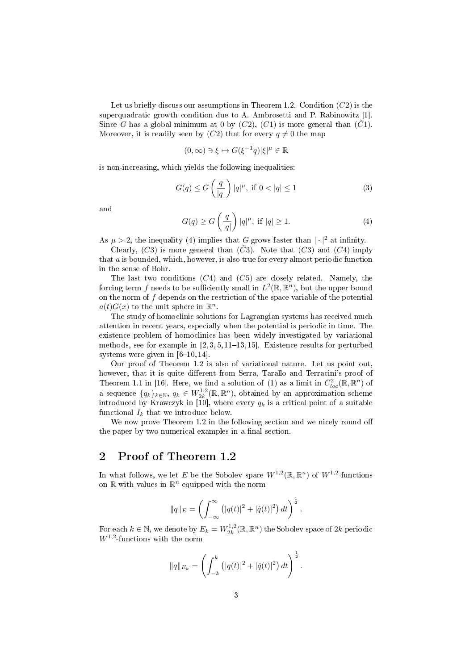Let us briefly discuss our assumptions in Theorem 1.2. Condition  $(C2)$  is the superquadratic growth condition due to A. Ambrosetti and P. Rabinowitz [1]. Since G has a global minimum at 0 by  $(C2)$ ,  $(C1)$  is more general than  $(C1)$ . Moreover, it is readily seen by  $(C2)$  that for every  $q \neq 0$  the map

$$
(0,\infty)\ni\xi\mapsto G(\xi^{-1}q)|\xi|^\mu\in\mathbb{R}
$$

is non-increasing, which yields the following inequalities:

$$
G(q) \le G\left(\frac{q}{|q|}\right)|q|^{\mu}, \text{ if } 0 < |q| \le 1 \tag{3}
$$

and

$$
G(q) \ge G\left(\frac{q}{|q|}\right)|q|^{\mu}, \text{ if } |q| \ge 1. \tag{4}
$$

As  $\mu > 2$ , the inequality (4) implies that G grows faster than  $|\cdot|^2$  at infinity.

Clearly,  $(C3)$  is more general than  $(\tilde{C}3)$ . Note that  $(C3)$  and  $(C4)$  imply that a is bounded, which, however, is also true for every almost periodic function in the sense of Bohr.

The last two conditions  $(C4)$  and  $(C5)$  are closely related. Namely, the forcing term  $f$  needs to be sufficiently small in  $L^2(\mathbb{R},\mathbb{R}^n),$  but the upper bound on the norm of  $f$  depends on the restriction of the space variable of the potential  $a(t)G(x)$  to the unit sphere in  $\mathbb{R}^n$ .

The study of homoclinic solutions for Lagrangian systems has received much attention in recent years, especially when the potential is periodic in time. The existence problem of homoclinics has been widely investigated by variational methods, see for example in  $[2, 3, 5, 11-13, 15]$ . Existence results for perturbed systems were given in  $[6-10, 14]$ .

Our proof of Theorem 1.2 is also of variational nature. Let us point out, however, that it is quite different from Serra, Tarallo and Terracini's proof of Theorem 1.1 in [16]. Here, we find a solution of (1) as a limit in  $C^2_{loc}(\mathbb{R}, \mathbb{R}^n)$  of a sequence  $\{q_k\}_{k\in\mathbb{N}}, q_k \in W_{2k}^{1,2}(\mathbb{R}, \mathbb{R}^n)$ , obtained by an approximation scheme introduced by Krawczyk in [10], where every  $q_k$  is a critical point of a suitable functional  $I_k$  that we introduce below.

We now prove Theorem 1.2 in the following section and we nicely round off the paper by two numerical examples in a final section.

#### 2 Proof of Theorem 1.2

In what follows, we let E be the Sobolev space  $W^{1,2}(\mathbb{R}, \mathbb{R}^n)$  of  $W^{1,2}$ -functions on  $\mathbb R$  with values in  $\mathbb R^n$  equipped with the norm

$$
||q||_E = \left(\int_{-\infty}^{\infty} (|q(t)|^2 + |\dot{q}(t)|^2) dt\right)^{\frac{1}{2}}.
$$

For each  $k \in \mathbb{N}$ , we denote by  $E_k = W_{2k}^{1,2}(\mathbb{R}, \mathbb{R}^n)$  the Sobolev space of  $2k$ -periodic  $W^{1,2}$ -functions with the norm

$$
||q||_{E_k} = \left(\int_{-k}^k (|q(t)|^2 + |\dot{q}(t)|^2) dt\right)^{\frac{1}{2}}.
$$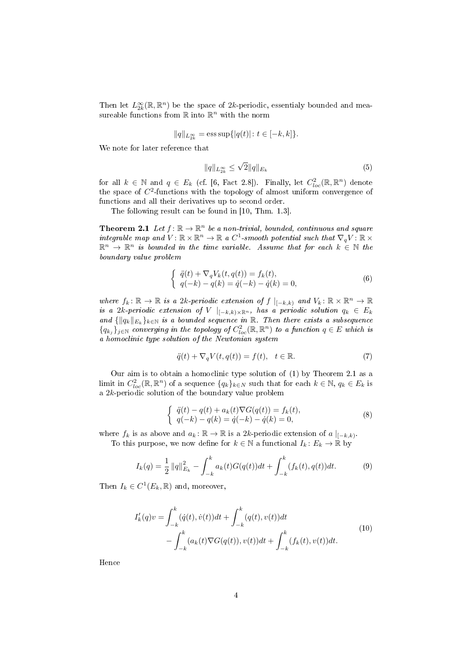Then let  $L^{\infty}_{2k}(\mathbb{R}, \mathbb{R}^n)$  be the space of 2k-periodic, essentialy bounded and measureable functions from  $\mathbb R$  into  $\mathbb R^n$  with the norm

$$
||q||_{L_{2k}^{\infty}} = \text{ess sup}\{|q(t)|: t \in [-k, k]\}.
$$

We note for later reference that

$$
||q||_{L_{2k}^{\infty}} \le \sqrt{2}||q||_{E_k}
$$
\n(5)

for all  $k \in \mathbb{N}$  and  $q \in E_k$  (cf. [6, Fact 2.8]). Finally, let  $C^2_{loc}(\mathbb{R}, \mathbb{R}^n)$  denote the space of  $C^2$ -functions with the topology of almost uniform convergence of functions and all their derivatives up to second order.

The following result can be found in [10, Thm. 1.3].

**Theorem 2.1** Let  $f: \mathbb{R} \to \mathbb{R}^n$  be a non-trivial, bounded, continuous and square integrable map and  $V: \mathbb{R} \times \mathbb{R}^n \to \mathbb{R}$  a  $C^1$ -smooth potential such that  $\nabla_q V: \mathbb{R} \times$  $\mathbb{R}^n \to \mathbb{R}^n$  is bounded in the time variable. Assume that for each  $k \in \mathbb{N}$  the boundary value problem

$$
\begin{cases} \n\ddot{q}(t) + \nabla_q V_k(t, q(t)) = f_k(t), \\ \nq(-k) - q(k) = \dot{q}(-k) - \dot{q}(k) = 0, \n\end{cases} \n(6)
$$

where  $f_k: \mathbb{R} \to \mathbb{R}$  is a 2k-periodic extension of  $f \mid_{[-k,k)}$  and  $V_k: \mathbb{R} \times \mathbb{R}^n \to \mathbb{R}$ is a 2k-periodic extension of V  $|_{[-k,k)\times\mathbb{R}^n}$ , has a periodic solution  $q_k \in E_k$ and  $\{\|q_k\|_{E_k}\}_{k\in\mathbb{N}}$  is a bounded sequence in R. Then there exists a subsequence  $\{q_{k_j}\}_{j\in\mathbb{N}}$  converging in the topology of  $C^2_{loc}(\mathbb{R}, \mathbb{R}^n)$  to a function  $q\in E$  which is a homoclinic type solution of the Newtonian system

$$
\ddot{q}(t) + \nabla_q V(t, q(t)) = f(t), \quad t \in \mathbb{R}.\tag{7}
$$

Our aim is to obtain a homoclinic type solution of (1) by Theorem 2.1 as a limit in  $C^2_{loc}(\mathbb{R}, \mathbb{R}^n)$  of a sequence  $\{q_k\}_{k\in\mathbb{N}}$  such that for each  $k \in \mathbb{N}$ ,  $q_k \in E_k$  is a 2k-periodic solution of the boundary value problem

$$
\begin{cases} \n\ddot{q}(t) - q(t) + a_k(t)\nabla G(q(t)) = f_k(t), \\ \nq(-k) - q(k) = \dot{q}(-k) - \dot{q}(k) = 0, \n\end{cases} \n(8)
$$

where  $f_k$  is as above and  $a_k : \mathbb{R} \to \mathbb{R}$  is a 2k-periodic extension of  $a \mid_{[-k,k)}$ . To this purpose, we now define for  $k \in \mathbb{N}$  a functional  $I_k: E_k \to \mathbb{R}$  by

$$
I_k(q) = \frac{1}{2} ||q||_{E_k}^2 - \int_{-k}^k a_k(t) G(q(t)) dt + \int_{-k}^k (f_k(t), q(t)) dt.
$$
 (9)

Then  $I_k \in C^1(E_k, \mathbb{R})$  and, moreover,

$$
I'_{k}(q)v = \int_{-k}^{k} (\dot{q}(t), \dot{v}(t))dt + \int_{-k}^{k} (q(t), v(t))dt - \int_{-k}^{k} (a_{k}(t)\nabla G(q(t)), v(t))dt + \int_{-k}^{k} (f_{k}(t), v(t))dt.
$$
\n(10)

Hence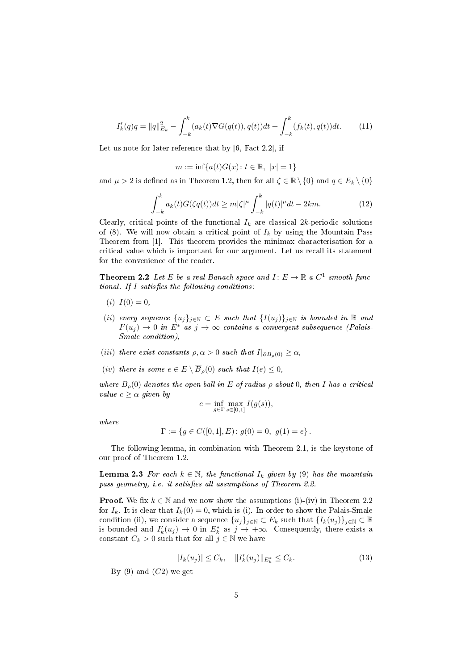$$
I'_{k}(q)q = ||q||_{E_{k}}^{2} - \int_{-k}^{k} (a_{k}(t)\nabla G(q(t)), q(t))dt + \int_{-k}^{k} (f_{k}(t), q(t))dt.
$$
 (11)

Let us note for later reference that by [6, Fact 2.2], if

$$
m:=\inf\{a(t)G(x)\colon t\in\mathbb{R},\ |x|=1\}
$$

and  $\mu > 2$  is defined as in Theorem 1.2, then for all  $\zeta \in \mathbb{R} \setminus \{0\}$  and  $q \in E_k \setminus \{0\}$ 

$$
\int_{-k}^{k} a_k(t) G(\zeta q(t)) dt \ge m |\zeta|^{\mu} \int_{-k}^{k} |q(t)|^{\mu} dt - 2km. \tag{12}
$$

Clearly, critical points of the functional  $I_k$  are classical 2k-periodic solutions of (8). We will now obtain a critical point of  $I_k$  by using the Mountain Pass Theorem from [1]. This theorem provides the minimax characterisation for a critical value which is important for our argument. Let us recall its statement for the convenience of the reader.

**Theorem 2.2** Let E be a real Banach space and  $I: E \to \mathbb{R}$  a  $C^1$ -smooth functional. If  $I$  satisfies the following conditions:

- (*i*)  $I(0) = 0$ ,
- (ii) every sequence  $\{u_j\}_{j\in\mathbb{N}} \subset E$  such that  $\{I(u_j)\}_{j\in\mathbb{N}}$  is bounded in  $\mathbb R$  and  $I'(u_j) \to 0$  in  $E^*$  as  $j \to \infty$  contains a convergent subsequence (Palais-Smale condition),
- (iii) there exist constants  $\rho, \alpha > 0$  such that  $I|_{\partial B_{\alpha}(0)} \geq \alpha$ ,
- (iv) there is some  $e \in E \setminus \overline{B}_{\rho}(0)$  such that  $I(e) \leq 0$ ,

where  $B_{\rho}(0)$  denotes the open ball in E of radius  $\rho$  about 0, then I has a critical value  $c \geq \alpha$  given by

$$
c=\inf_{g\in\Gamma}\max_{s\in[0,1]}I(g(s)),
$$

where

$$
\Gamma:=\left\{g\in C([0,1],E)\colon g(0)=0,\,\,g(1)=e\right\}.
$$

The following lemma, in combination with Theorem 2.1, is the keystone of our proof of Theorem 1.2.

**Lemma 2.3** For each  $k \in \mathbb{N}$ , the functional  $I_k$  given by (9) has the mountain pass geometry, i.e. it satisfies all assumptions of Theorem 2.2.

**Proof.** We fix  $k \in \mathbb{N}$  and we now show the assumptions (i)-(iv) in Theorem 2.2 for  $I_k$ . It is clear that  $I_k(0) = 0$ , which is (i). In order to show the Palais-Smale condition (ii), we consider a sequence  $\{u_j\}_{j\in\mathbb{N}}\subset E_k$  such that  $\{I_k(u_j)\}_{j\in\mathbb{N}}\subset \mathbb{R}$ is bounded and  $I'_k(u_j) \to 0$  in  $E^*_k$  as  $j \to +\infty$ . Consequently, there exists a constant  $C_k > 0$  such that for all  $j \in \mathbb{N}$  we have

$$
|I_k(u_j)| \le C_k, \quad \|I'_k(u_j)\|_{E^*_k} \le C_k. \tag{13}
$$

By (9) and  $(C2)$  we get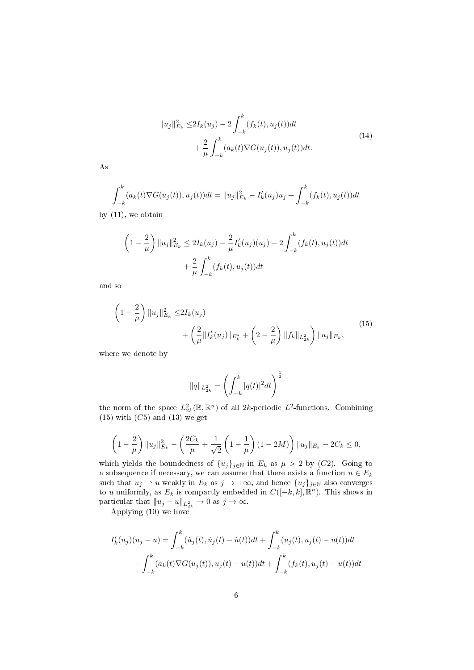$$
||u_j||_{E_k}^2 \le 2I_k(u_j) - 2 \int_{-k}^k (f_k(t), u_j(t))dt + \frac{2}{\mu} \int_{-k}^k (a_k(t) \nabla G(u_j(t)), u_j(t))dt.
$$
\n(14)

As

$$
\int_{-k}^{k} (a_k(t)\nabla G(u_j(t)), u_j(t))dt = ||u_j||_{E_k}^2 - I'_k(u_j)u_j + \int_{-k}^{k} (f_k(t), u_j(t))dt
$$

by (11), we obtain

$$
\left(1 - \frac{2}{\mu}\right) \|u_j\|_{E_k}^2 \le 2I_k(u_j) - \frac{2}{\mu}I'_k(u_j)(u_j) - 2\int_{-k}^k (f_k(t), u_j(t))dt + \frac{2}{\mu} \int_{-k}^k (f_k(t), u_j(t))dt
$$

and so

$$
\left(1 - \frac{2}{\mu}\right) \|u_j\|_{E_k}^2 \le 2I_k(u_j) + \left(\frac{2}{\mu} \|I'_k(u_j)\|_{E_k^*} + \left(2 - \frac{2}{\mu}\right) \|f_k\|_{L_{2k}^2}\right) \|u_j\|_{E_k},
$$
\n(15)

where we denote by

$$
||q||_{L_{2k}^2} = \left(\int_{-k}^k |q(t)|^2 dt\right)^{\frac{1}{2}}
$$

the norm of the space  $L_{2k}^2(\mathbb{R}, \mathbb{R}^n)$  of all  $2k$ -periodic  $L^2$ -functions. Combining  $(15)$  with  $(C5)$  and  $(13)$  we get

$$
\left(1 - \frac{2}{\mu}\right) \|u_j\|_{E_k}^2 - \left(\frac{2C_k}{\mu} + \frac{1}{\sqrt{2}}\left(1 - \frac{1}{\mu}\right)(1 - 2M)\right) \|u_j\|_{E_k} - 2C_k \le 0,
$$

which yields the boundedness of  $\{u_j\}_{j\in\mathbb{N}}$  in  $E_k$  as  $\mu > 2$  by  $(C2)$ . Going to a subsequence if necessary, we can assume that there exists a function  $u\in E_k$ such that  $u_j \rightharpoonup u$  weakly in  $E_k$  as  $j \rightharpoonup +\infty$ , and hence  $\{u_j\}_{j\in\mathbb{N}}$  also converges to u uniformly, as  $E_k$  is compactly embedded in  $C([-k, k], \mathbb{R}^n)$ . This shows in particular that  $||u_j - u||_{L_{2k}^2} \to 0$  as  $j \to \infty$ .

Applying (10) we have

$$
I'_{k}(u_{j})(u_{j}-u) = \int_{-k}^{k} (\dot{u}_{j}(t), \dot{u}_{j}(t) - \dot{u}(t))dt + \int_{-k}^{k} (u_{j}(t), u_{j}(t) - u(t))dt
$$

$$
- \int_{-k}^{k} (a_{k}(t)\nabla G(u_{j}(t)), u_{j}(t) - u(t))dt + \int_{-k}^{k} (f_{k}(t), u_{j}(t) - u(t))dt
$$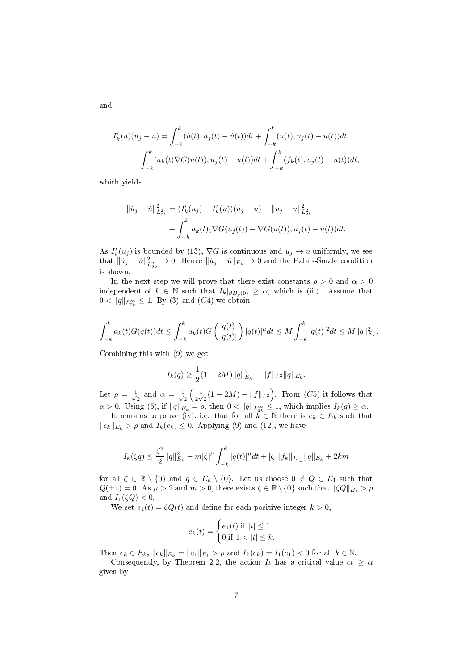$$
I'_{k}(u)(u_{j} - u) = \int_{-k}^{k} (\dot{u}(t), \dot{u}_{j}(t) - \dot{u}(t))dt + \int_{-k}^{k} (u(t), u_{j}(t) - u(t))dt
$$
  
- 
$$
\int_{-k}^{k} (a_{k}(t)\nabla G(u(t)), u_{j}(t) - u(t))dt + \int_{-k}^{k} (f_{k}(t), u_{j}(t) - u(t))dt,
$$

which yields

$$
||\dot{u}_j - \dot{u}||_{L_{2k}^2}^2 = (I'_k(u_j) - I'_k(u))(u_j - u) - ||u_j - u||_{L_{2k}^2}^2
$$
  
+ 
$$
\int_{-k}^k a_k(t)(\nabla G(u_j(t)) - \nabla G(u(t)), u_j(t) - u(t))dt.
$$

As  $I'_k(u_j)$  is bounded by (13),  $\nabla G$  is continuous and  $u_j \to u$  uniformly, we see that  $\|\dot{u}_j - \dot{u}\|_{L^2_{2k}}^2 \to 0$ . Hence  $\|\dot{u}_j - \dot{u}\|_{E_k} \to 0$  and the Palais-Smale condition is shown.

In the next step we will prove that there exist constants  $\rho > 0$  and  $\alpha > 0$ independent of  $k \in \mathbb{N}$  such that  $I_k|_{\partial B_0(0)} \geq \alpha$ , which is (iii). Assume that  $0 < ||q||_{L^{\infty}_{2k}} \leq 1$ . By (3) and (C4) we obtain

$$
\int_{-k}^{k} a_k(t)G(q(t))dt \leq \int_{-k}^{k} a_k(t)G\left(\frac{q(t)}{|q(t)|}\right)|q(t)|^{\mu}dt \leq M \int_{-k}^{k} |q(t)|^2 dt \leq M ||q||_{E_k}^2.
$$

Combining this with (9) we get

$$
I_k(q) \ge \frac{1}{2}(1 - 2M) \|q\|_{E_k}^2 - \|f\|_{L^2} \|q\|_{E_k}.
$$

Let  $\rho = \frac{1}{\sqrt{2}}$  $\frac{1}{2}$  and  $\alpha = \frac{1}{\sqrt{2}}$  $\frac{1}{2}$   $\left(\frac{1}{2\nu}\right)$  $\frac{1}{2\sqrt{2}}(1-2M) - ||f||_{L^2}$ . From (C5) it follows that  $\alpha > 0$ . Using (5), if  $||q||_{E_k} = \rho$ , then  $0 < ||q||_{L^{\infty}_{2k}} \leq 1$ , which implies  $I_k(q) \geq \alpha$ .

It remains to prove (iv), i.e. that for all  $\hat{k} \in \mathbb{N}$  there is  $e_k \in E_k$  such that  $||e_k||_{E_k} > \rho$  and  $I_k(e_k) \leq 0$ . Applying (9) and (12), we have

$$
I_k(\zeta q) \leq \frac{\zeta^2}{2} \|q\|_{E_k}^2 - m|\zeta|^\mu \int_{-k}^k |q(t)|^\mu dt + |\zeta| \|f_k\|_{L^2_{2k}} \|q\|_{E_k} + 2km
$$

for all  $\zeta \in \mathbb{R} \setminus \{0\}$  and  $q \in E_k \setminus \{0\}$ . Let us choose  $0 \neq Q \in E_1$  such that  $Q(\pm 1) = 0$ . As  $\mu > 2$  and  $m > 0$ , there exists  $\zeta \in \mathbb{R} \setminus \{0\}$  such that  $\|\zeta Q\|_{E_1} > \rho$ and  $I_1(\zeta Q) < 0$ .

We set  $e_1(t) = \zeta Q(t)$  and define for each positive integer  $k > 0$ ,

$$
e_k(t) = \begin{cases} e_1(t) & \text{if } |t| \le 1\\ 0 & \text{if } 1 < |t| \le k. \end{cases}
$$

Then  $e_k \in E_k$ ,  $||e_k||_{E_k} = ||e_1||_{E_1} > \rho$  and  $I_k(e_k) = I_1(e_1) < 0$  for all  $k \in \mathbb{N}$ .

Consequently, by Theorem 2.2, the action  $I_k$  has a critical value  $c_k \geq \alpha$ given by

and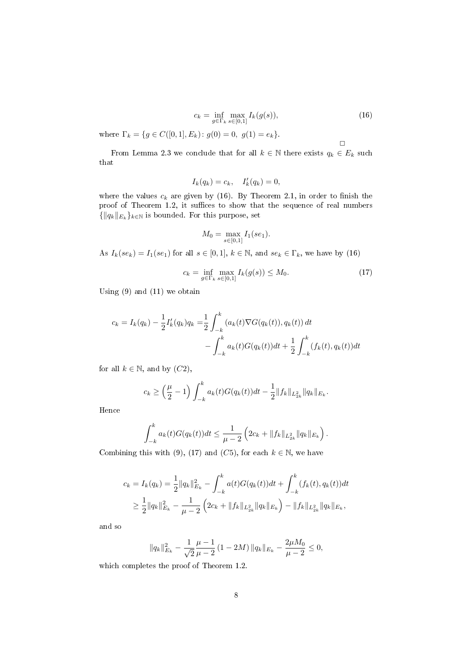$$
c_k = \inf_{g \in \Gamma_k} \max_{s \in [0,1]} I_k(g(s)),\tag{16}
$$

 $\Box$ 

where  $\Gamma_k = \{ g \in C([0,1], E_k) : g(0) = 0, g(1) = e_k \}.$ 

From Lemma 2.3 we conclude that for all  $k \in \mathbb{N}$  there exists  $q_k \in E_k$  such that

$$
I_k(q_k) = c_k, \quad I'_k(q_k) = 0,
$$

where the values  $c_k$  are given by (16). By Theorem 2.1, in order to finish the proof of Theorem 1.2, it suffices to show that the sequence of real numbers  $\{\|q_k\|_{E_k}\}_{k\in\mathbb{N}}$  is bounded. For this purpose, set

$$
M_0 = \max_{s \in [0,1]} I_1(se_1).
$$

As  $I_k(se_k) = I_1(se_1)$  for all  $s \in [0,1], k \in \mathbb{N}$ , and  $se_k \in \Gamma_k$ , we have by (16)

$$
c_k = \inf_{g \in \Gamma_k} \max_{s \in [0,1]} I_k(g(s)) \le M_0.
$$
 (17)

Using (9) and (11) we obtain

$$
c_k = I_k(q_k) - \frac{1}{2}I'_k(q_k)q_k = \frac{1}{2} \int_{-k}^k (a_k(t)\nabla G(q_k(t)), q_k(t)) dt - \int_{-k}^k a_k(t)G(q_k(t))dt + \frac{1}{2} \int_{-k}^k (f_k(t), q_k(t)) dt
$$

for all  $k \in \mathbb{N}$ , and by  $(C2)$ ,

$$
c_k \geq \left(\frac{\mu}{2} - 1\right) \int_{-k}^k a_k(t) G(q_k(t)) dt - \frac{1}{2} ||f_k||_{L_{2k}^2} ||q_k||_{E_k}.
$$

Hence

$$
\int_{-k}^{k} a_k(t) G(q_k(t)) dt \leq \frac{1}{\mu - 2} \left( 2c_k + ||f_k||_{L_{2k}^2} ||q_k||_{E_k} \right).
$$

Combining this with (9), (17) and (C5), for each  $k \in \mathbb{N}$ , we have

$$
c_k = I_k(q_k) = \frac{1}{2} ||q_k||_{E_k}^2 - \int_{-k}^k a(t)G(q_k(t))dt + \int_{-k}^k (f_k(t), q_k(t))dt
$$
  

$$
\geq \frac{1}{2} ||q_k||_{E_k}^2 - \frac{1}{\mu - 2} \left( 2c_k + ||f_k||_{L_{2k}^2} ||q_k||_{E_k} \right) - ||f_k||_{L_{2k}^2} ||q_k||_{E_k},
$$

and so

$$
||q_k||_{E_k}^2 - \frac{1}{\sqrt{2}} \frac{\mu - 1}{\mu - 2} (1 - 2M) ||q_k||_{E_k} - \frac{2\mu M_0}{\mu - 2} \le 0,
$$

which completes the proof of Theorem 1.2.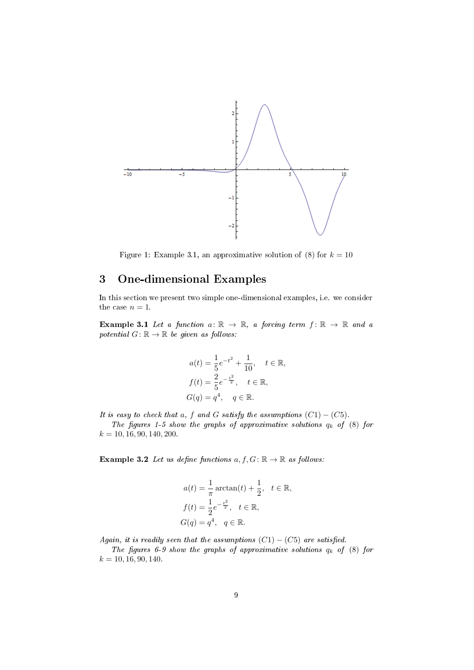

Figure 1: Example 3.1, an approximative solution of (8) for  $k = 10$ 

## 3 One-dimensional Examples

In this section we present two simple one-dimensional examples, i.e. we consider the case  $n = 1$ .

**Example 3.1** Let a function  $a: \mathbb{R} \to \mathbb{R}$ , a forcing term  $f: \mathbb{R} \to \mathbb{R}$  and a potential  $G: \mathbb{R} \to \mathbb{R}$  be given as follows:

$$
a(t) = \frac{1}{5}e^{-t^2} + \frac{1}{10}, \quad t \in \mathbb{R},
$$
  
\n
$$
f(t) = \frac{2}{5}e^{-\frac{t^2}{2}}, \quad t \in \mathbb{R},
$$
  
\n
$$
G(q) = q^4, \quad q \in \mathbb{R}.
$$

It is easy to check that a, f and G satisfy the assumptions  $(C1) - (C5)$ .

The figures 1-5 show the graphs of approximative solutions  $q_k$  of (8) for  $k = 10, 16, 90, 140, 200.$ 

Example 3.2 Let us define functions  $a, f, G \colon \mathbb{R} \to \mathbb{R}$  as follows:

$$
a(t) = \frac{1}{\pi} \arctan(t) + \frac{1}{2}, \quad t \in \mathbb{R},
$$
  
\n
$$
f(t) = \frac{1}{2} e^{-\frac{t^2}{2}}, \quad t \in \mathbb{R},
$$
  
\n
$$
G(q) = q^4, \quad q \in \mathbb{R}.
$$

Again, it is readily seen that the assumptions  $(C1) - (C5)$  are satisfied.

The figures 6-9 show the graphs of approximative solutions  $q_k$  of  $(8)$  for  $k = 10, 16, 90, 140.$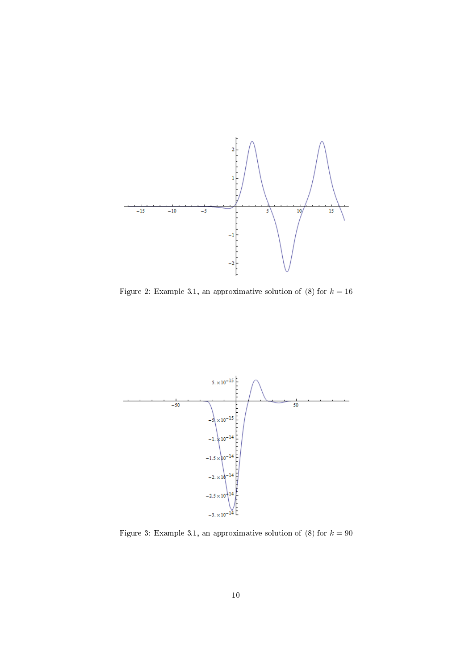

Figure 2: Example 3.1, an approximative solution of (8) for  $k = 16$ 



Figure 3: Example 3.1, an approximative solution of  $(8)$  for  $k = 90$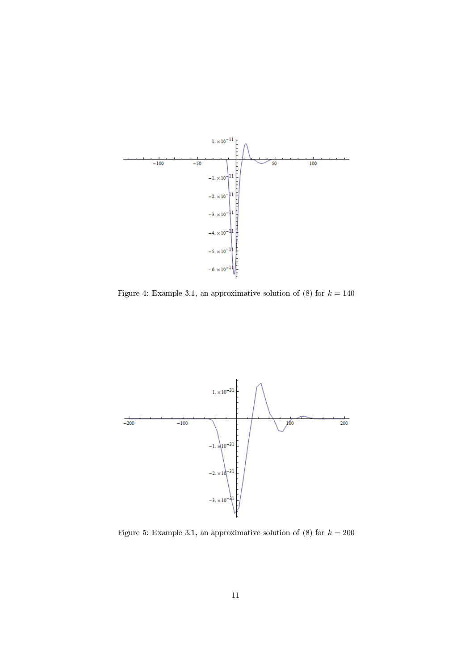

Figure 4: Example 3.1, an approximative solution of (8) for  $k = 140$ 



Figure 5: Example 3.1, an approximative solution of (8) for  $k = 200$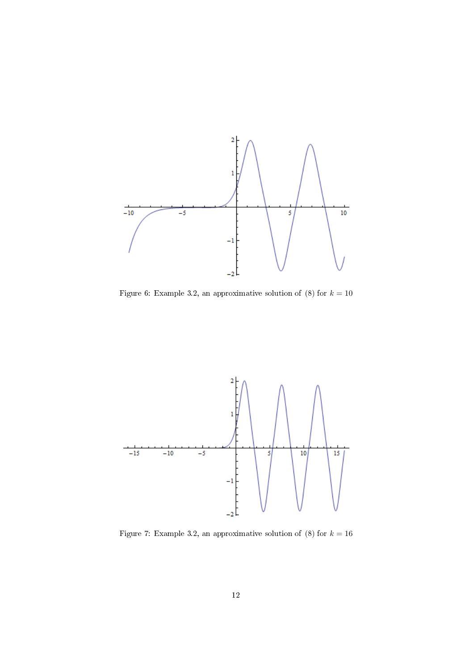

Figure 6: Example 3.2, an approximative solution of (8) for  $k = 10$ 



Figure 7: Example 3.2, an approximative solution of  $(8)$  for  $k = 16$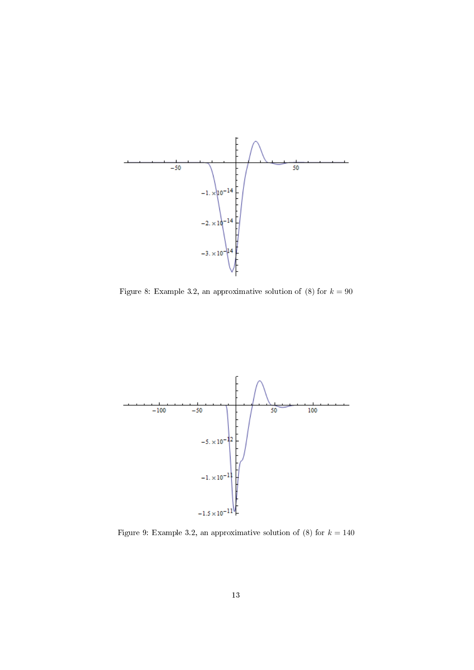

Figure 8: Example 3.2, an approximative solution of (8) for  $k = 90$ 



Figure 9: Example 3.2, an approximative solution of (8) for  $k = 140$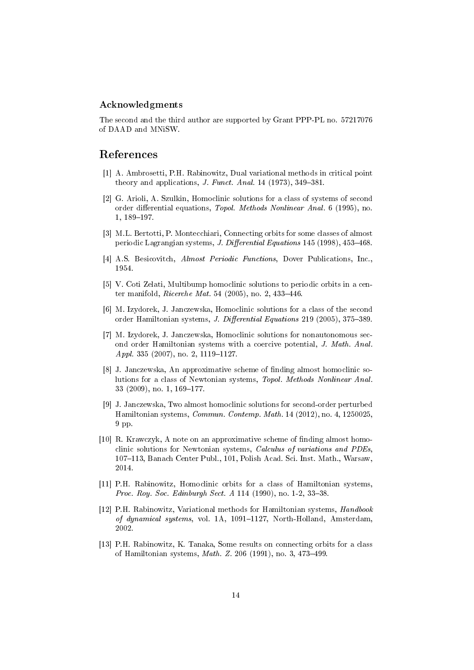#### Acknowledgments

The second and the third author are supported by Grant PPP-PL no. 57217076 of DAAD and MNiSW.

#### References

- [1] A. Ambrosetti, P.H. Rabinowitz, Dual variational methods in critical point theory and applications, *J. Funct. Anal.* 14 (1973),  $349-381$ .
- [2] G. Arioli, A. Szulkin, Homoclinic solutions for a class of systems of second order differential equations, Topol. Methods Nonlinear Anal. 6 (1995), no. 1, 189-197.
- [3] M.L. Bertotti, P. Montecchiari, Connecting orbits for some classes of almost periodic Lagrangian systems, *J. Differential Equations* 145 (1998), 453-468.
- [4] A.S. Besicovitch, Almost Periodic Functions, Dover Publications, Inc., 1954.
- [5] V. Coti Zelati, Multibump homoclinic solutions to periodic orbits in a center manifold, *Ricerche Mat.* 54 (2005), no. 2,  $433-446$ .
- [6] M. Izydorek, J. Janczewska, Homoclinic solutions for a class of the second order Hamiltonian systems, *J. Differential Equations* 219 (2005), 375–389.
- [7] M. Izydorek, J. Janczewska, Homoclinic solutions for nonautonomous second order Hamiltonian systems with a coercive potential, J. Math. Anal. Appl. 335  $(2007)$ , no. 2, 1119-1127.
- [8] J. Janczewska, An approximative scheme of finding almost homoclinic solutions for a class of Newtonian systems, Topol. Methods Nonlinear Anal.  $33$   $(2009)$ , no. 1,  $169-177$ .
- [9] J. Janczewska, Two almost homoclinic solutions for second-order perturbed Hamiltonian systems, Commun. Contemp. Math. 14 (2012), no. 4, 1250025, 9 pp.
- [10] R. Krawczyk, A note on an approximative scheme of nding almost homoclinic solutions for Newtonian systems, Calculus of variations and PDEs, 107-113, Banach Center Publ., 101, Polish Acad. Sci. Inst. Math., Warsaw, 2014.
- [11] P.H. Rabinowitz, Homoclinic orbits for a class of Hamiltonian systems, Proc. Roy. Soc. Edinburgh Sect. A  $114$  (1990), no. 1-2, 33-38.
- [12] P.H. Rabinowitz, Variational methods for Hamiltonian systems, Handbook of dynamical systems, vol. 1A, 1091-1127, North-Holland, Amsterdam, 2002.
- [13] P.H. Rabinowitz, K. Tanaka, Some results on connecting orbits for a class of Hamiltonian systems,  $Math. Z. 206 (1991)$ , no. 3, 473-499.